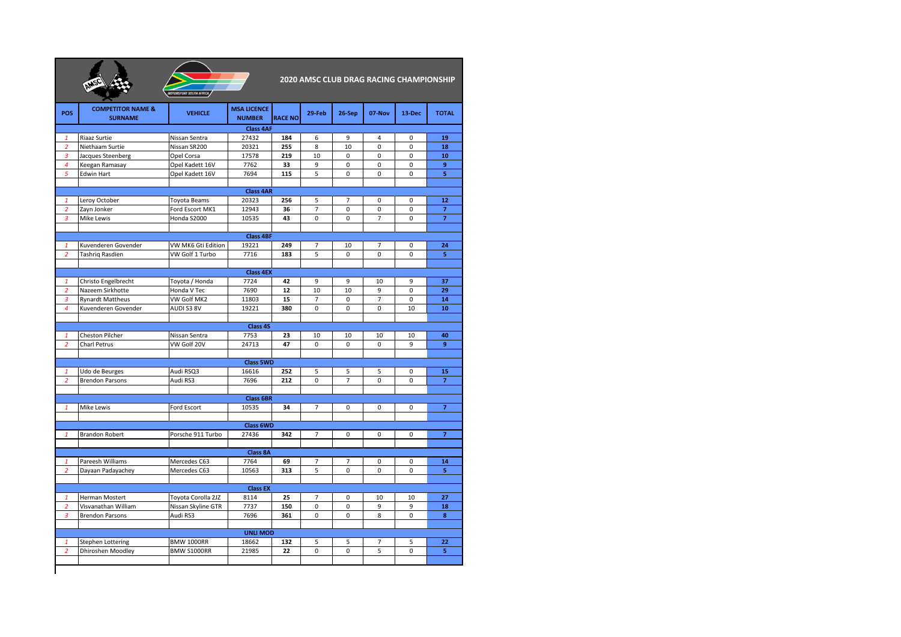| <b>MOTORSPORT SOUTH AFRICA</b> |
|--------------------------------|

**2020 AMSC CLUB DRAG RACING CHAMPIONSHIP**

| POS                            | <b>COMPETITOR NAME &amp;</b><br><b>SURNAME</b> | <b>VEHICLE</b>                  | <b>MSA LICENCE</b><br><b>NUMBER</b> | <b>RACE NO</b> | 29-Feb              | 26-Sep         | 07-Nov           | 13-Dec      | <b>TOTAL</b>         |
|--------------------------------|------------------------------------------------|---------------------------------|-------------------------------------|----------------|---------------------|----------------|------------------|-------------|----------------------|
|                                |                                                |                                 | <b>Class 4AF</b>                    |                |                     |                |                  |             |                      |
| 1                              | Riaaz Surtie                                   | Nissan Sentra                   | 27432                               | 184            | 6                   | 9              | 4                | 0           | 19                   |
| $\overline{2}$                 | Niethaam Surtie                                | Nissan SR200                    | 20321                               | 255            | 8                   | 10             | $\mathbf 0$      | 0           | 18                   |
| 3                              | Jacques Steenberg                              | Opel Corsa                      | 17578                               | 219            | 10                  | $\Omega$       | $\Omega$         | $\Omega$    | 10                   |
| $\overline{4}$                 | Keegan Ramasay                                 | Opel Kadett 16V                 | 7762                                | 33             | 9                   | 0              | $\mathbf 0$      | 0           | 9                    |
| 5                              | <b>Edwin Hart</b>                              | Opel Kadett 16V                 | 7694                                | 115            | 5                   | 0              | $\mathbf 0$      | 0           | 5                    |
|                                |                                                |                                 |                                     |                |                     |                |                  |             |                      |
|                                |                                                |                                 | <b>Class 4AR</b>                    |                |                     |                |                  |             |                      |
| $\mathbf{1}$<br>$\overline{2}$ | Leroy October                                  | Toyota Beams<br>Ford Escort MK1 | 20323<br>12943                      | 256<br>36      | 5<br>$\overline{7}$ | 7<br>0         | 0<br>0           | 0<br>0      | 12<br>$\overline{7}$ |
| $\overline{3}$                 | Zayn Jonker                                    | Honda S2000                     |                                     | 43             | 0                   | 0              | $\overline{7}$   | $\mathbf 0$ | $\overline{7}$       |
|                                | Mike Lewis                                     |                                 | 10535                               |                |                     |                |                  |             |                      |
| <b>Class 4BF</b>               |                                                |                                 |                                     |                |                     |                |                  |             |                      |
| 1                              | Kuvenderen Govender                            | VW MK6 Gti Edition              | 19221                               | 249            | 7                   | 10             | 7                | 0           | 24                   |
| 2                              | Tashrig Rasdien                                | VW Golf 1 Turbo                 | 7716                                | 183            | 5                   | 0              | 0                | 0           | 5                    |
|                                |                                                |                                 |                                     |                |                     |                |                  |             |                      |
|                                |                                                |                                 | <b>Class 4EX</b>                    |                |                     |                |                  |             |                      |
| $\mathbf{1}$                   | Christo Engelbrecht                            | Toyota / Honda                  | 7724                                | 42             | 9                   | 9              | 10               | 9           | 37                   |
| $\overline{2}$                 | Nazeem Sirkhotte                               | Honda V Tec                     | 7690                                | 12             | 10                  | 10             | 9                | 0           | 29                   |
| 3                              | <b>Rynardt Mattheus</b>                        | VW Golf MK2                     | 11803                               | 15             | $\overline{7}$      | 0              | $\overline{7}$   | 0           | 14                   |
| 4                              | Kuvenderen Govender                            | AUDI S3 8V                      | 19221                               | 380            | $\Omega$            | $\Omega$       | $\Omega$         | 10          | 10                   |
|                                |                                                |                                 |                                     |                |                     |                |                  |             |                      |
|                                |                                                |                                 | Class 4S                            |                |                     |                |                  |             |                      |
| $\mathbf{1}$                   | Cheston Pilcher                                | Nissan Sentra                   | 7753                                | 23             | 10                  | 10             | 10               | 10          | 40                   |
| $\overline{2}$                 | Charl Petrus                                   | VW Golf 20V                     | 24713                               | 47             | 0                   | 0              | 0                | 9           | 9                    |
|                                |                                                |                                 | <b>Class 5WD</b>                    |                |                     |                |                  |             |                      |
| $\mathbf{1}$                   | Udo de Beurges                                 | Audi RSQ3                       | 16616                               | 252            | 5                   | 5              | 5                | 0           | 15                   |
| $\overline{2}$                 | <b>Brendon Parsons</b>                         | Audi RS3                        | 7696                                | 212            | 0                   | $\overline{7}$ | $\Omega$         | 0           | $\overline{7}$       |
|                                |                                                |                                 |                                     |                |                     |                |                  |             |                      |
|                                |                                                |                                 | <b>Class 6BR</b>                    |                |                     |                |                  |             |                      |
| $\mathbf{1}$                   | Mike Lewis                                     | Ford Escort                     | 10535                               | 34             | $\overline{7}$      | 0              | 0                | 0           | $\overline{7}$       |
|                                |                                                |                                 |                                     |                |                     |                |                  |             |                      |
|                                |                                                |                                 | <b>Class 6WD</b>                    |                |                     |                |                  |             |                      |
| $\mathbf{1}$                   | <b>Brandon Robert</b>                          | Porsche 911 Turbo               | 27436                               | 342            | $\overline{7}$      | 0              | 0                | 0           | $\overline{7}$       |
|                                |                                                |                                 |                                     |                |                     |                |                  |             |                      |
|                                |                                                |                                 | Class 8A                            |                |                     |                |                  |             |                      |
| $\mathbf{1}$<br>$\overline{2}$ | Pareesh Williams                               | Mercedes C63<br>Mercedes C63    | 7764<br>10563                       | 69<br>313      | 7<br>5              | 7<br>0         | 0<br>$\mathbf 0$ | 0<br>0      | 14<br>5              |
|                                | Dayaan Padayachey                              |                                 |                                     |                |                     |                |                  |             |                      |
|                                |                                                |                                 | <b>Class EX</b>                     |                |                     |                |                  |             |                      |
| 1                              | Herman Mostert                                 | Toyota Corolla 2JZ              | 8114                                | 25             | $\overline{7}$      | 0              | 10               | 10          | 27                   |
| $\overline{2}$                 | Visvanathan William                            | Nissan Skyline GTR              | 7737                                | 150            | 0                   | 0              | 9                | 9           | 18                   |
| 3                              | <b>Brendon Parsons</b>                         | Audi RS3                        | 7696                                | 361            | 0                   | 0              | 8                | 0           | 8                    |
|                                |                                                |                                 |                                     |                |                     |                |                  |             |                      |
| <b>UNLI MOD</b>                |                                                |                                 |                                     |                |                     |                |                  |             |                      |
| 1                              | Stephen Lottering                              | <b>BMW 1000RR</b>               | 18662                               | 132            | 5                   | 5              | $\overline{7}$   | 5           | 22                   |
| $\overline{2}$                 | Dhiroshen Moodley                              | BMW S1000RR                     | 21985                               | 22             | 0                   | 0              | 5                | 0           | 5                    |
|                                |                                                |                                 |                                     |                |                     |                |                  |             |                      |